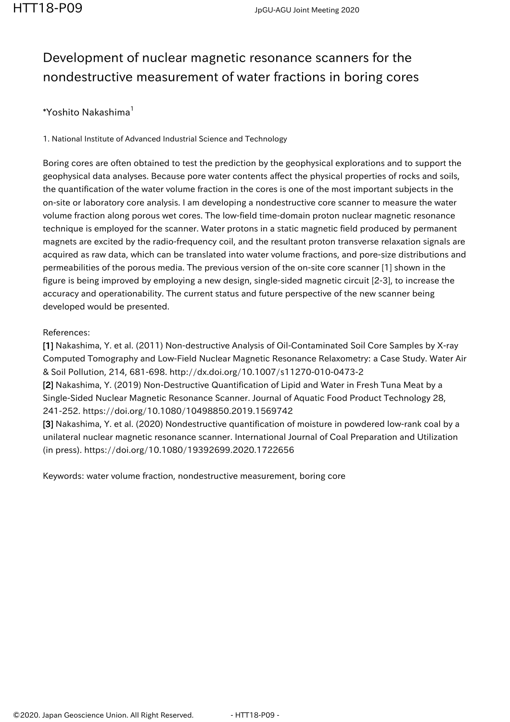## Development of nuclear magnetic resonance scanners for the nondestructive measurement of water fractions in boring cores

## \*Yoshito Nakashima $<sup>1</sup>$ </sup>

1. National Institute of Advanced Industrial Science and Technology

Boring cores are often obtained to test the prediction by the geophysical explorations and to support the geophysical data analyses. Because pore water contents affect the physical properties of rocks and soils, the quantification of the water volume fraction in the cores is one of the most important subjects in the on-site or laboratory core analysis. I am developing a nondestructive core scanner to measure the water volume fraction along porous wet cores. The low-field time-domain proton nuclear magnetic resonance technique is employed for the scanner. Water protons in a static magnetic field produced by permanent magnets are excited by the radio-frequency coil, and the resultant proton transverse relaxation signals are acquired as raw data, which can be translated into water volume fractions, and pore-size distributions and permeabilities of the porous media. The previous version of the on-site core scanner [1] shown in the figure is being improved by employing a new design, single-sided magnetic circuit [2-3], to increase the accuracy and operationability. The current status and future perspective of the new scanner being developed would be presented.

## References:

[1] Nakashima, Y. et al. (2011) Non-destructive Analysis of Oil-Contaminated Soil Core Samples by X-ray Computed Tomography and Low-Field Nuclear Magnetic Resonance Relaxometry: a Case Study. Water Air & Soil Pollution, 214, 681-698. http://dx.doi.org/10.1007/s11270-010-0473-2

[2] Nakashima, Y. (2019) Non-Destructive Quantification of Lipid and Water in Fresh Tuna Meat by a Single-Sided Nuclear Magnetic Resonance Scanner. Journal of Aquatic Food Product Technology 28, 241-252. https://doi.org/10.1080/10498850.2019.1569742

[3] Nakashima, Y. et al. (2020) Nondestructive quantification of moisture in powdered low-rank coal by a unilateral nuclear magnetic resonance scanner. International Journal of Coal Preparation and Utilization (in press). https://doi.org/10.1080/19392699.2020.1722656

Keywords: water volume fraction, nondestructive measurement, boring core